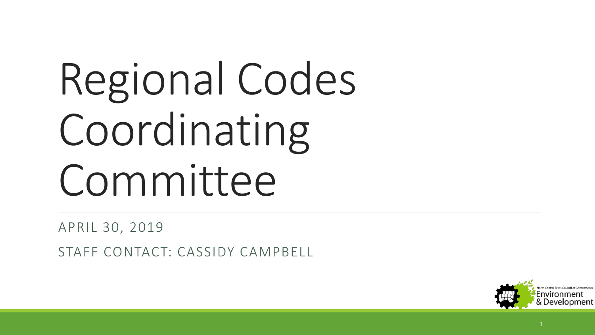# Regional Codes Coordinating Committee

APRIL 30, 2019

STAFF CONTACT: CASSIDY CAMPBELL

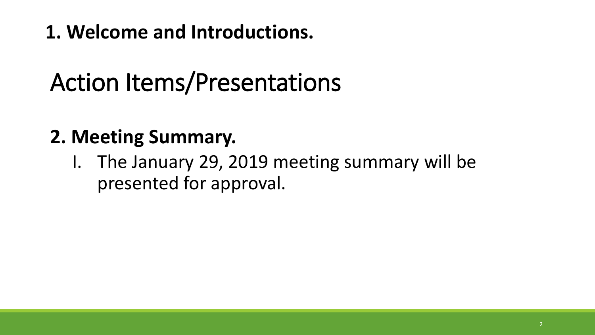**1. Welcome and Introductions.**

# Action Items/Presentations

#### **2. Meeting Summary.**

I. The January 29, 2019 meeting summary will be presented for approval.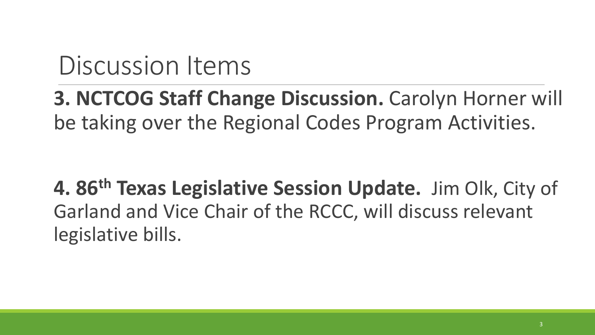**3. NCTCOG Staff Change Discussion.** Carolyn Horner will be taking over the Regional Codes Program Activities.

**4. 86th Texas Legislative Session Update.** Jim Olk, City of Garland and Vice Chair of the RCCC, will discuss relevant legislative bills.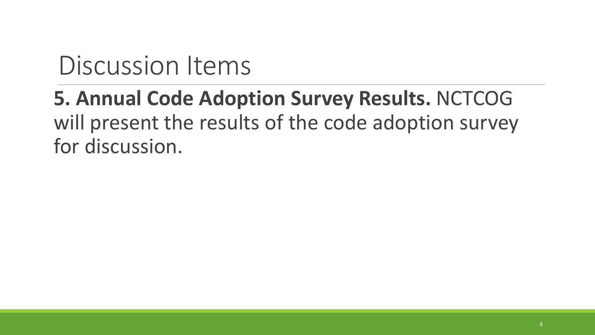## **5. Annual Code Adoption Survey Results.** NCTCOG will present the results of the code adoption survey for discussion.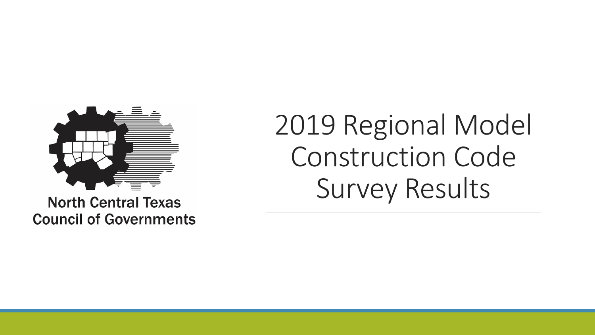

**North Central Texas Council of Governments**  2019 Regional Model Construction Code Survey Results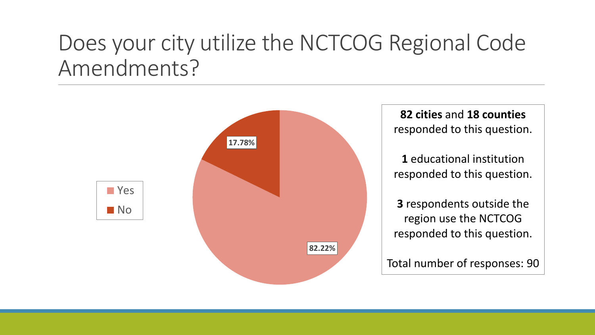## Does your city utilize the NCTCOG Regional Code Amendments?

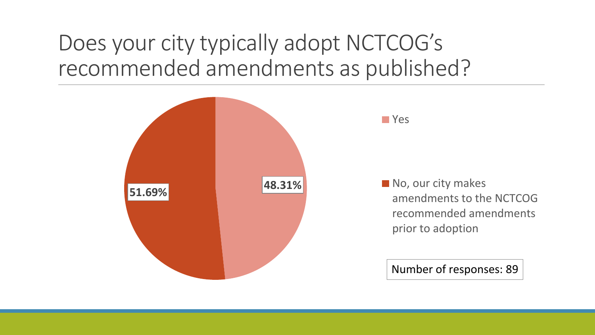## Does your city typically adopt NCTCOG's recommended amendments as published?

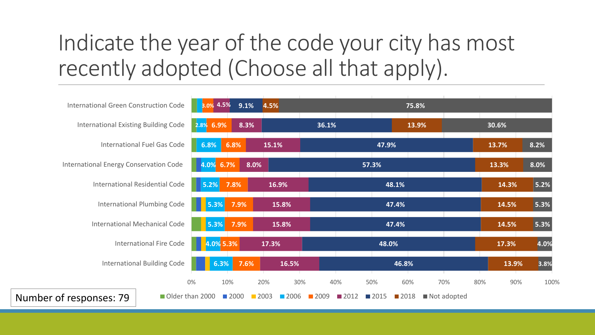## Indicate the year of the code your city has most recently adopted (Choose all that apply).

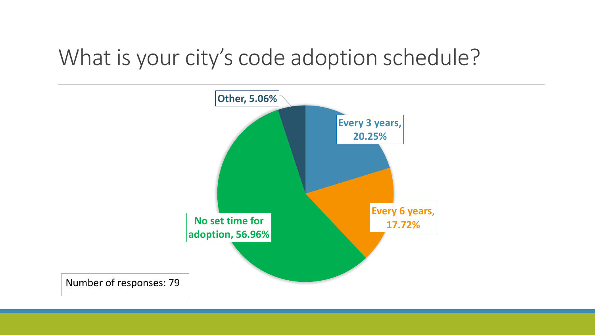## What is your city's code adoption schedule?

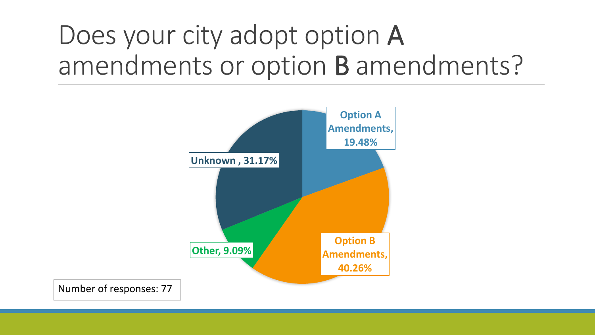# Does your city adopt option A amendments or option B amendments?

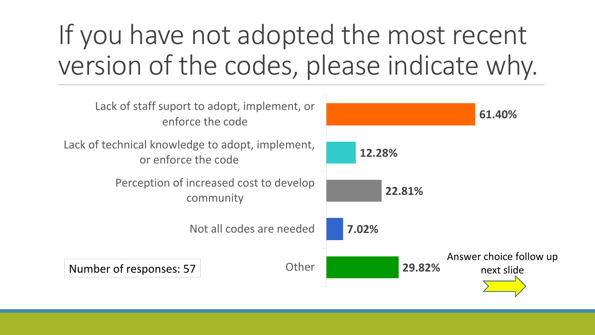# If you have not adopted the most recent version of the codes, please indicate why.

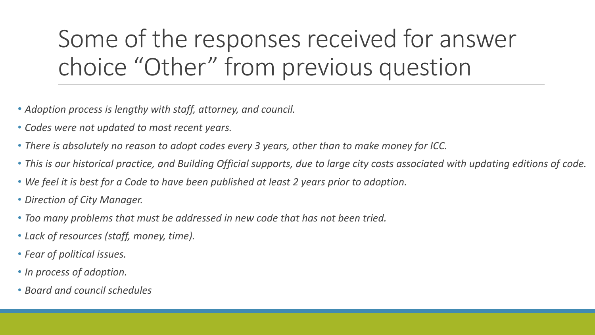# Some of the responses received for answer choice "Other" from previous question

- *Adoption process is lengthy with staff, attorney, and council.*
- *Codes were not updated to most recent years.*
- *There is absolutely no reason to adopt codes every 3 years, other than to make money for ICC.*
- *This is our historical practice, and Building Official supports, due to large city costs associated with updating editions of code.*
- *We feel it is best for a Code to have been published at least 2 years prior to adoption.*
- *Direction of City Manager.*
- *Too many problems that must be addressed in new code that has not been tried.*
- *Lack of resources (staff, money, time).*
- *Fear of political issues.*
- *In process of adoption.*
- *Board and council schedules*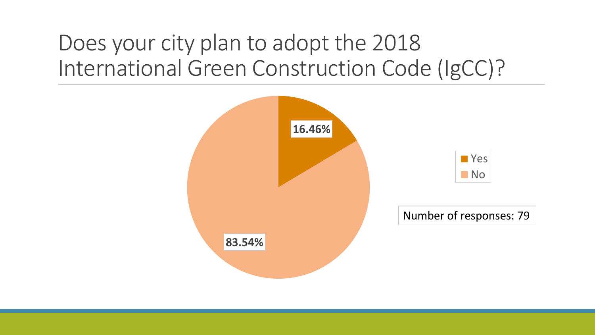## Does your city plan to adopt the 2018 International Green Construction Code (IgCC)?

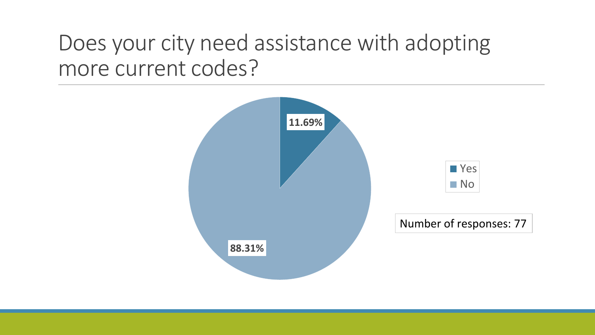## Does your city need assistance with adopting more current codes?

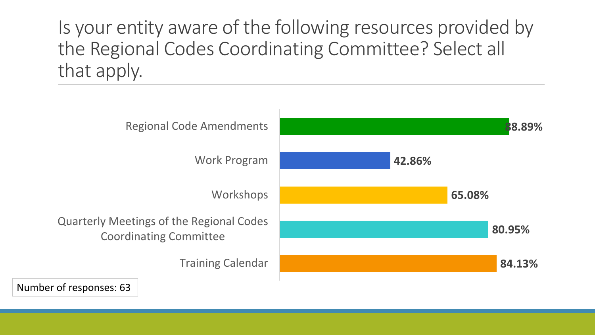Is your entity aware of the following resources provided by the Regional Codes Coordinating Committee? Select all that apply.



Number of responses: 63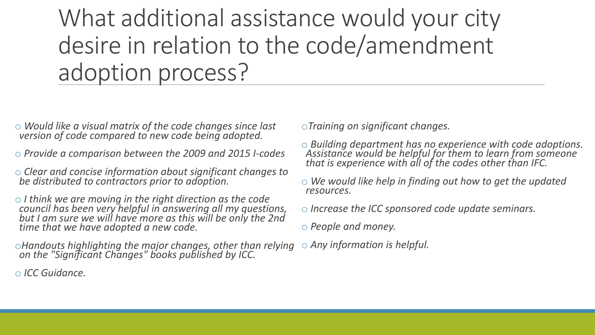What additional assistance would your city desire in relation to the code/amendment adoption process?

- o *Would like a visual matrix of the code changes since last version of code compared to new code being adopted.*
- o *Provide a comparison between the 2009 and 2015 I-codes*
- o *Clear and concise information about significant changes to be distributed to contractors prior to adoption.*
- o *I think we are moving in the right direction as the code council has been very helpful in answering all my questions, but I am sure we will have more as this will be only the 2nd time that we have adopted a new code.*

o*Handouts highlighting the major changes, other than relying on the "Significant Changes" books published by ICC.*

o *ICC Guidance.*

o*Training on significant changes.*

- o *Building department has no experience with code adoptions. Assistance would be helpful for them to learn from someone that is experience with all of the codes other than IFC.*
- o *We would like help in finding out how to get the updated resources.*
- o *Increase the ICC sponsored code update seminars.*
- o *People and money.*
- o *Any information is helpful.*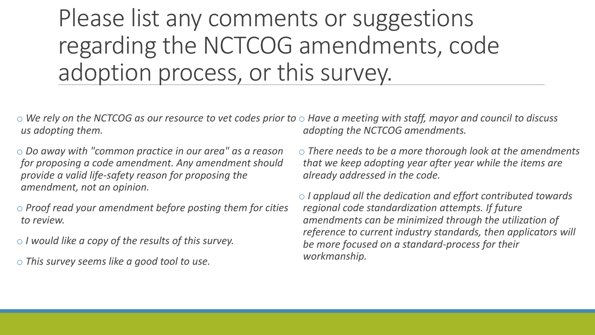Please list any comments or suggestions regarding the NCTCOG amendments, code adoption process, or this survey.

 $\circ$  We rely on the NCTCOG as our resource to vet codes prior to  $\circ$  Have a meeting with staff, mayor and council to discuss *us adopting them. adopting the NCTCOG amendments.*

o *Do away with "common practice in our area" as a reason for proposing a code amendment. Any amendment should provide a valid life-safety reason for proposing the amendment, not an opinion.*

o *Proof read your amendment before posting them for cities to review.*

o *I would like a copy of the results of this survey.*

o *This survey seems like a good tool to use.*

o *There needs to be a more thorough look at the amendments that we keep adopting year after year while the items are already addressed in the code.*

o *I applaud all the dedication and effort contributed towards regional code standardization attempts. If future amendments can be minimized through the utilization of reference to current industry standards, then applicators will be more focused on a standard-process for their workmanship.*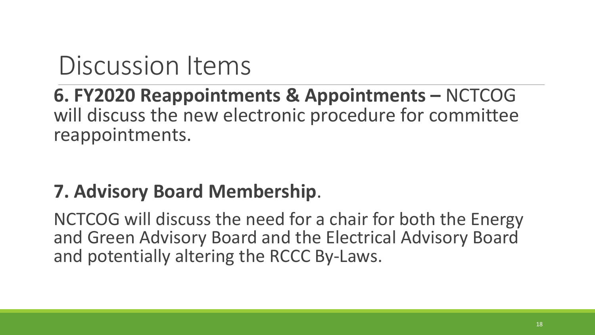#### **6. FY2020 Reappointments & Appointments –** NCTCOG will discuss the new electronic procedure for committee reappointments.

#### **7. Advisory Board Membership**.

NCTCOG will discuss the need for a chair for both the Energy and Green Advisory Board and the Electrical Advisory Board and potentially altering the RCCC By-Laws.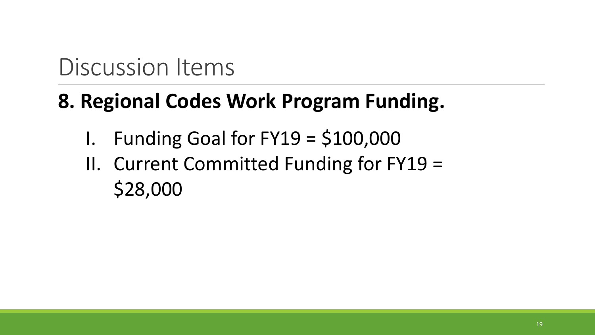## **8. Regional Codes Work Program Funding.**

- I. Funding Goal for  $FY19 = $100,000$
- II. Current Committed Funding for FY19 = \$28,000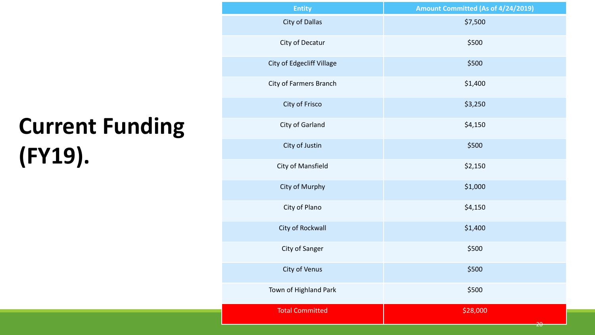# **Current Funding (FY19).**

| <b>Entity</b>             | Amount Committed (As of 4/24/2019) |
|---------------------------|------------------------------------|
| <b>City of Dallas</b>     | \$7,500                            |
| City of Decatur           | \$500                              |
| City of Edgecliff Village | \$500                              |
| City of Farmers Branch    | \$1,400                            |
| City of Frisco            | \$3,250                            |
| City of Garland           | \$4,150                            |
| City of Justin            | \$500                              |
| City of Mansfield         | \$2,150                            |
| City of Murphy            | \$1,000                            |
| City of Plano             | \$4,150                            |
| City of Rockwall          | \$1,400                            |
| City of Sanger            | \$500                              |
| City of Venus             | \$500                              |
| Town of Highland Park     | \$500                              |
| <b>Total Committed</b>    | \$28,000<br><del>20</del>          |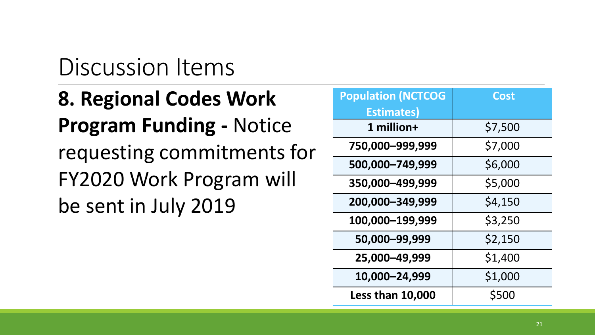**8. Regional Codes Work Program Funding -** Notice requesting commitments for FY2020 Work Program will be sent in July 2019

| <b>Population (NCTCOG</b> | <b>Cost</b> |
|---------------------------|-------------|
| <b>Estimates)</b>         |             |
| 1 million+                | \$7,500     |
| 750,000-999,999           | \$7,000     |
| 500,000-749,999           | \$6,000     |
| 350,000-499,999           | \$5,000     |
| 200,000-349,999           | \$4,150     |
| 100,000-199,999           | \$3,250     |
| 50,000-99,999             | \$2,150     |
| 25,000-49,999             | \$1,400     |
| 10,000-24,999             | \$1,000     |
| <b>Less than 10,000</b>   | \$500       |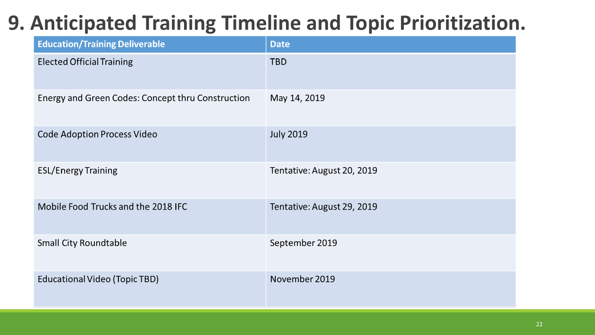## **9. Anticipated Training Timeline and Topic Prioritization.**

| <b>Education/Training Deliverable</b>             | <b>Date</b>                |
|---------------------------------------------------|----------------------------|
| <b>Elected Official Training</b>                  | <b>TBD</b>                 |
| Energy and Green Codes: Concept thru Construction | May 14, 2019               |
| <b>Code Adoption Process Video</b>                | <b>July 2019</b>           |
| <b>ESL/Energy Training</b>                        | Tentative: August 20, 2019 |
| Mobile Food Trucks and the 2018 IFC               | Tentative: August 29, 2019 |
| <b>Small City Roundtable</b>                      | September 2019             |
| <b>Educational Video (Topic TBD)</b>              | November 2019              |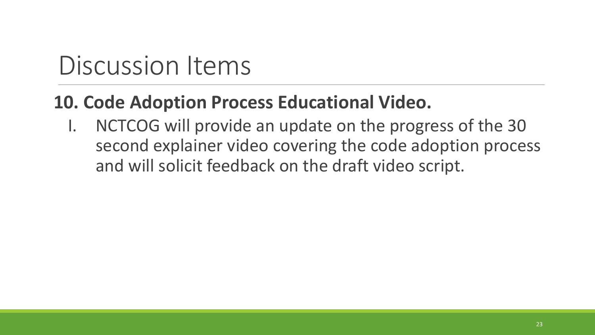#### **10. Code Adoption Process Educational Video.**

I. NCTCOG will provide an update on the progress of the 30 second explainer video covering the code adoption process and will solicit feedback on the draft video script.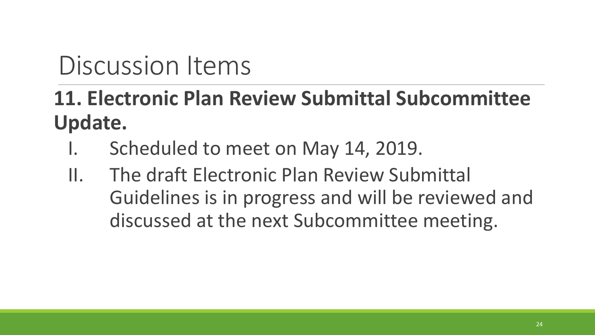## **11. Electronic Plan Review Submittal Subcommittee Update.**

- I. Scheduled to meet on May 14, 2019.
- II. The draft Electronic Plan Review Submittal Guidelines is in progress and will be reviewed and discussed at the next Subcommittee meeting.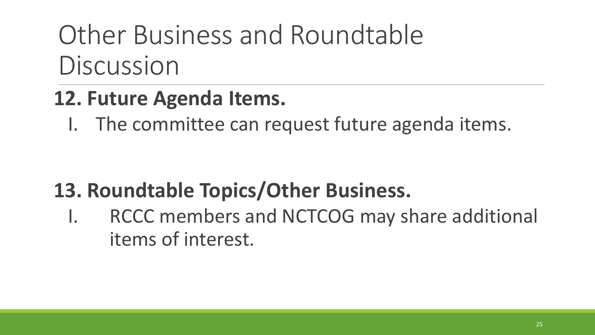# Other Business and Roundtable Discussion

#### **12. Future Agenda Items.**

I. The committee can request future agenda items.

## **13. Roundtable Topics/Other Business.**

I. RCCC members and NCTCOG may share additional items of interest.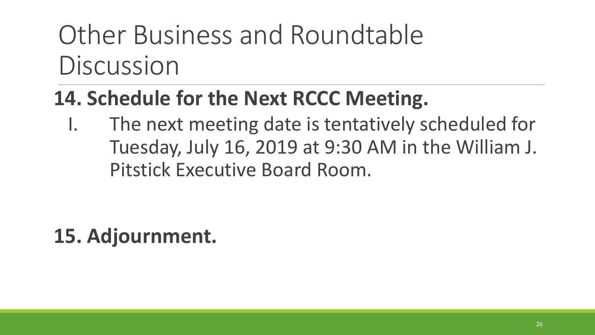# Other Business and Roundtable Discussion

## **14. Schedule for the Next RCCC Meeting.**

I. The next meeting date is tentatively scheduled for Tuesday, July 16, 2019 at 9:30 AM in the William J. Pitstick Executive Board Room.

## **15. Adjournment.**